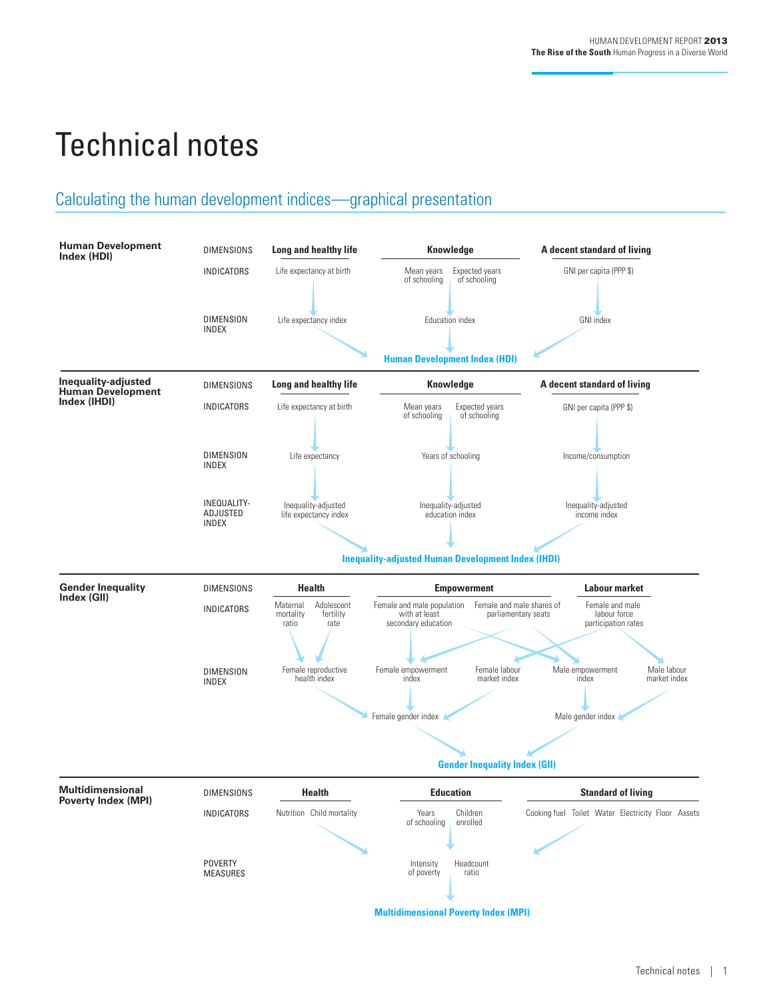# Technical notes

# Calculating the human development indices—graphical presentation

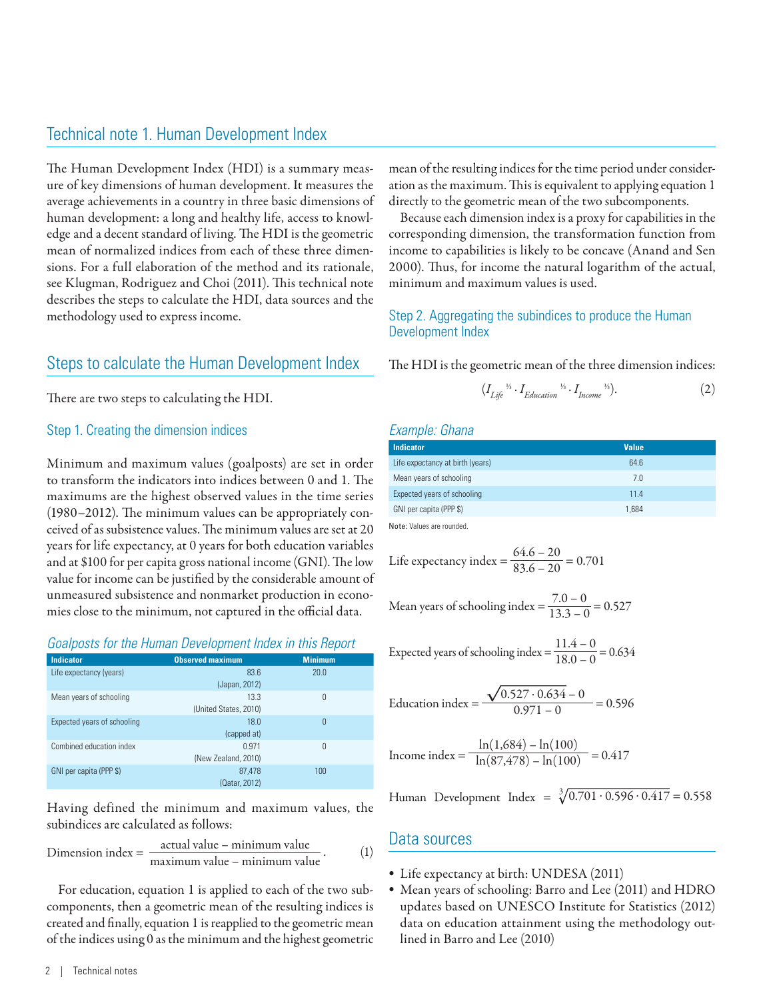## Technical note 1. Human Development Index

The Human Development Index (HDI) is a summary measure of key dimensions of human development. It measures the average achievements in a country in three basic dimensions of human development: a long and healthy life, access to knowledge and a decent standard of living. The HDI is the geometric mean of normalized indices from each of these three dimensions. For a full elaboration of the method and its rationale, see Klugman, Rodriguez and Choi (2011). This technical note describes the steps to calculate the HDI, data sources and the methodology used to express income.

## Steps to calculate the Human Development Index

There are two steps to calculating the HDI.

#### Step 1. Creating the dimension indices

Minimum and maximum values (goalposts) are set in order to transform the indicators into indices between 0 and 1. The maximums are the highest observed values in the time series (1980–2012). The minimum values can be appropriately conceived of as subsistence values. The minimum values are set at 20 years for life expectancy, at 0 years for both education variables and at \$100 for per capita gross national income (GNI). The low value for income can be justified by the considerable amount of unmeasured subsistence and nonmarket production in economies close to the minimum, not captured in the official data.

#### *Goalposts for the Human Development Index in this Report*

| <b>Indicator</b>            | <b>Observed maximum</b>       | <b>Minimum</b> |
|-----------------------------|-------------------------------|----------------|
| Life expectancy (years)     | 83.6<br>(Japan, 2012)         | 20.0           |
| Mean years of schooling     | 13.3<br>(United States, 2010) | 0              |
| Expected years of schooling | 18.0<br>(capped at)           | $\mathbf 0$    |
| Combined education index    | 0.971<br>(New Zealand, 2010)  | $\overline{0}$ |
| GNI per capita (PPP \$)     | 87,478<br>(Qatar, 2012)       | 100            |

Having defined the minimum and maximum values, the subindices are calculated as follows:

Dimension index = 
$$
\frac{\text{actual value} - \text{minimum value}}{\text{maximum value} - \text{minimum value}}.
$$
 (1)

For education, equation 1 is applied to each of the two subcomponents, then a geometric mean of the resulting indices is created and finally, equation 1 is reapplied to the geometric mean of the indices using 0 as the minimum and the highest geometric

mean of the resulting indices for the time period under consideration as the maximum. This is equivalent to applying equation 1 directly to the geometric mean of the two subcomponents.

Because each dimension index is a proxy for capabilities in the corresponding dimension, the transformation function from income to capabilities is likely to be concave (Anand and Sen 2000). Thus, for income the natural logarithm of the actual, minimum and maximum values is used.

#### Step 2. Aggregating the subindices to produce the Human Development Index

The HDI is the geometric mean of the three dimension indices:

$$
(I_{Life}^{\gamma_5} \cdot I_{Education}^{\gamma_5} \cdot I_{Income}^{\gamma_5}). \tag{2}
$$

#### *Example: Ghana*

| <b>Indicator</b>                 | <b>Value</b> |  |
|----------------------------------|--------------|--|
| Life expectancy at birth (years) | 64.6         |  |
| Mean years of schooling          | 7.0          |  |
| Expected years of schooling      | 114          |  |
| GNI per capita (PPP \$)          | 1.684        |  |

Note: Values are rounded.

Life expectancy index 
$$
=
$$
  $\frac{64.6 - 20}{83.6 - 20} = 0.701$ 

Mean years of schooling index = 
$$
\frac{7.0 - 0}{13.3 - 0} = 0.527
$$

Expected years of schooling index 
$$
=
$$
  $\frac{11.4 - 0}{18.0 - 0} = 0.634$ 

$$
Equation index = \frac{\sqrt{0.527 \cdot 0.634} - 0}{0.971 - 0} = 0.596
$$

$$
Income index = \frac{\ln(1,684) - \ln(100)}{\ln(87,478) - \ln(100)} = 0.417
$$

Human Development Index =  $\sqrt[3]{0.701 \cdot 0.596 \cdot 0.417} = 0.558$ 

## Data sources

- Life expectancy at birth: UNDESA (2011)
- Mean years of schooling: Barro and Lee (2011) and HDRO updates based on UNESCO Institute for Statistics (2012) data on education attainment using the methodology outlined in Barro and Lee (2010)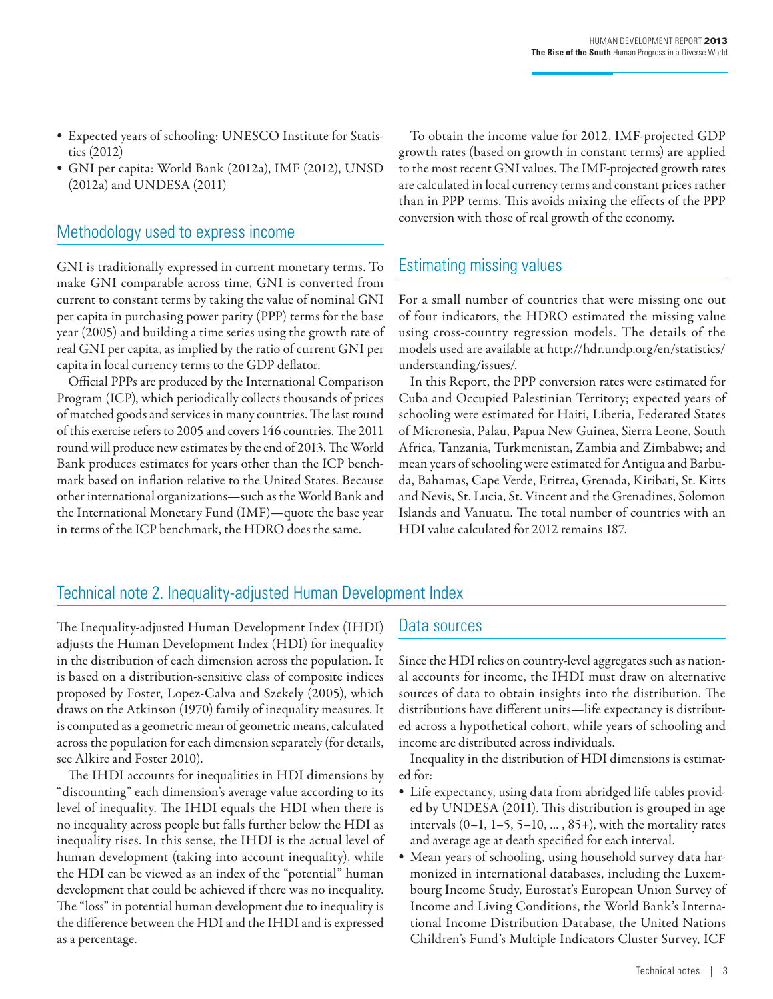- Expected years of schooling: UNESCO Institute for Statistics (2012)
- GNI per capita: World Bank (2012a), IMF (2012), UNSD (2012a) and UNDESA (2011)

# Methodology used to express income

GNI is traditionally expressed in current monetary terms. To make GNI comparable across time, GNI is converted from current to constant terms by taking the value of nominal GNI per capita in purchasing power parity (PPP) terms for the base year (2005) and building a time series using the growth rate of real GNI per capita, as implied by the ratio of current GNI per capita in local currency terms to the GDP deflator.

Official PPPs are produced by the International Comparison Program (ICP), which periodically collects thousands of prices of matched goods and services in many countries. The last round of this exercise refers to 2005 and covers 146 countries. The 2011 round will produce new estimates by the end of 2013. The World Bank produces estimates for years other than the ICP benchmark based on inflation relative to the United States. Because other international organizations—such as the World Bank and the International Monetary Fund (IMF)—quote the base year in terms of the ICP benchmark, the HDRO does the same.

To obtain the income value for 2012, IMF-projected GDP growth rates (based on growth in constant terms) are applied to the most recent GNI values. The IMF-projected growth rates are calculated in local currency terms and constant prices rather than in PPP terms. This avoids mixing the effects of the PPP conversion with those of real growth of the economy.

# Estimating missing values

For a small number of countries that were missing one out of four indicators, the HDRO estimated the missing value using cross-country regression models. The details of the models used are available at http://hdr.undp.org/en/statistics/ understanding/issues/.

In this Report, the PPP conversion rates were estimated for Cuba and Occupied Palestinian Territory; expected years of schooling were estimated for Haiti, Liberia, Federated States of Micronesia, Palau, Papua New Guinea, Sierra Leone, South Africa, Tanzania, Turkmenistan, Zambia and Zimbabwe; and mean years of schooling were estimated for Antigua and Barbuda, Bahamas, Cape Verde, Eritrea, Grenada, Kiribati, St. Kitts and Nevis, St. Lucia, St. Vincent and the Grenadines, Solomon Islands and Vanuatu. The total number of countries with an HDI value calculated for 2012 remains 187.

# Technical note 2. Inequality-adjusted Human Development Index

The Inequality-adjusted Human Development Index (IHDI) adjusts the Human Development Index (HDI) for inequality in the distribution of each dimension across the population. It is based on a distribution-sensitive class of composite indices proposed by Foster, Lopez-Calva and Szekely (2005), which draws on the Atkinson (1970) family of inequality measures. It is computed as a geometric mean of geometric means, calculated across the population for each dimension separately (for details, see Alkire and Foster 2010).

The IHDI accounts for inequalities in HDI dimensions by "discounting" each dimension's average value according to its level of inequality. The IHDI equals the HDI when there is no inequality across people but falls further below the HDI as inequality rises. In this sense, the IHDI is the actual level of human development (taking into account inequality), while the HDI can be viewed as an index of the "potential" human development that could be achieved if there was no inequality. The "loss" in potential human development due to inequality is the difference between the HDI and the IHDI and is expressed as a percentage.

## Data sources

Since the HDI relies on country-level aggregates such as national accounts for income, the IHDI must draw on alternative sources of data to obtain insights into the distribution. The distributions have different units—life expectancy is distributed across a hypothetical cohort, while years of schooling and income are distributed across individuals.

Inequality in the distribution of HDI dimensions is estimated for:

- Life expectancy, using data from abridged life tables provided by UNDESA (2011). This distribution is grouped in age intervals  $(0-1, 1-5, 5-10, \ldots, 85+)$ , with the mortality rates and average age at death specified for each interval.
- Mean years of schooling, using household survey data harmonized in international databases, including the Luxembourg Income Study, Eurostat's European Union Survey of Income and Living Conditions, the World Bank's International Income Distribution Database, the United Nations Children's Fund's Multiple Indicators Cluster Survey, ICF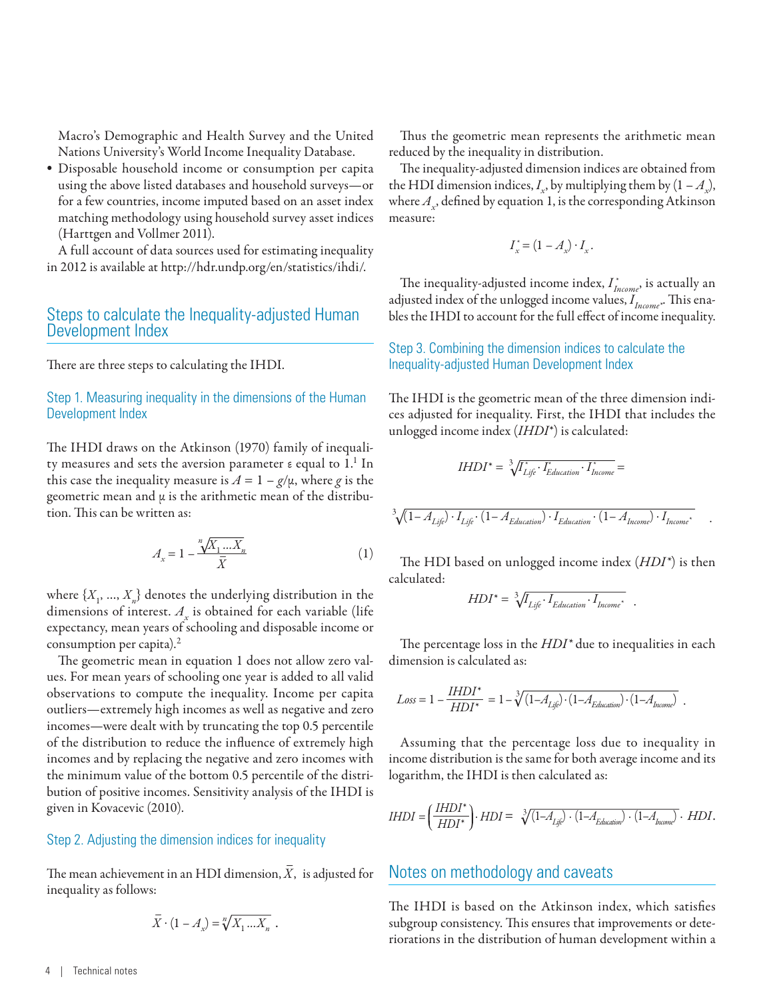Macro's Demographic and Health Survey and the United Nations University's World Income Inequality Database.

• Disposable household income or consumption per capita using the above listed databases and household surveys—or for a few countries, income imputed based on an asset index matching methodology using household survey asset indices (Harttgen and Vollmer 2011).

A full account of data sources used for estimating inequality in 2012 is available at http://hdr.undp.org/en/statistics/ihdi/.

## Steps to calculate the Inequality-adjusted Human Development Index

There are three steps to calculating the IHDI.

#### Step 1. Measuring inequality in the dimensions of the Human Development Index

The IHDI draws on the Atkinson (1970) family of inequality measures and sets the aversion parameter ε equal to 1.1 In this case the inequality measure is  $A = 1 - g/\mu$ , where *g* is the geometric mean and  $\mu$  is the arithmetic mean of the distribution. This can be written as:

$$
A_x = 1 - \frac{\sqrt[n]{X_1 \dots X_n}}{\overline{X}}
$$
 (1)

where  $\{X_1, ..., X_n\}$  denotes the underlying distribution in the dimensions of interest.  $A_x$  is obtained for each variable (life expectancy, mean years of schooling and disposable income or consumption per capita).<sup>2</sup>

The geometric mean in equation 1 does not allow zero values. For mean years of schooling one year is added to all valid observations to compute the inequality. Income per capita outliers—extremely high incomes as well as negative and zero incomes—were dealt with by truncating the top 0.5 percentile of the distribution to reduce the influence of extremely high incomes and by replacing the negative and zero incomes with the minimum value of the bottom 0.5 percentile of the distribution of positive incomes. Sensitivity analysis of the IHDI is given in Kovacevic (2010).

#### Step 2. Adjusting the dimension indices for inequality

The mean achievement in an HDI dimension,  $\bar{X}$ , is adjusted for inequality as follows:

$$
\overline{X} \cdot (1 - A_x) = \sqrt[n]{X_1 \dots X_n} \ .
$$

Thus the geometric mean represents the arithmetic mean reduced by the inequality in distribution.

The inequality-adjusted dimension indices are obtained from the HDI dimension indices,  $I_x$ , by multiplying them by  $(1 - A_x)$ , where  $A_{x}$ , defined by equation 1, is the corresponding Atkinson measure:

$$
I_x^* = (1 - A_x) \cdot I_x.
$$

The inequality-adjusted income index, *I \* Income*, is actually an adjusted index of the unlogged income values, *I<sub>Income</sub>*.. This enables the IHDI to account for the full effect of income inequality.

#### Step 3. Combining the dimension indices to calculate the Inequality-adjusted Human Development Index

The IHDI is the geometric mean of the three dimension indices adjusted for inequality. First, the IHDI that includes the unlogged income index (*IHDI*\*) is calculated:

$$
IHDI^* = \sqrt[3]{I_{Lij\hat{e}}^* \cdot I_{Education}^* \cdot I_{Income}^*} =
$$
  

$$
\sqrt[3]{(1 - A_{Lij\hat{e}}) \cdot I_{Lij\hat{e}} \cdot (1 - A_{Education}) \cdot I_{Education} \cdot (1 - A_{Income}) \cdot I_{Income}^*}
$$

The HDI based on unlogged income index (*HDI\**) is then calculated:

$$
HDI^* = \sqrt[3]{I_{Life} \cdot I_{Education} \cdot I_{Income^*}}.
$$

The percentage loss in the *HDI\** due to inequalities in each dimension is calculated as:

$$
Loss = 1 - \frac{IHDI^*}{HDI^*} = 1 - \sqrt[3]{(1 - A_{Life}) \cdot (1 - A_{Education}) \cdot (1 - A_{Inome})}.
$$

Assuming that the percentage loss due to inequality in income distribution is the same for both average income and its logarithm, the IHDI is then calculated as:

$$
IHDI = \left(\frac{IHDI^*}{HDI^*}\right) \cdot HDI = \sqrt[3]{\left(1 - A_{Lij}\right) \cdot \left(1 - A_{Education}\right) \cdot \left(1 - A_{homo}\right)} \cdot HDI.
$$

#### Notes on methodology and caveats

The IHDI is based on the Atkinson index, which satisfies subgroup consistency. This ensures that improvements or deteriorations in the distribution of human development within a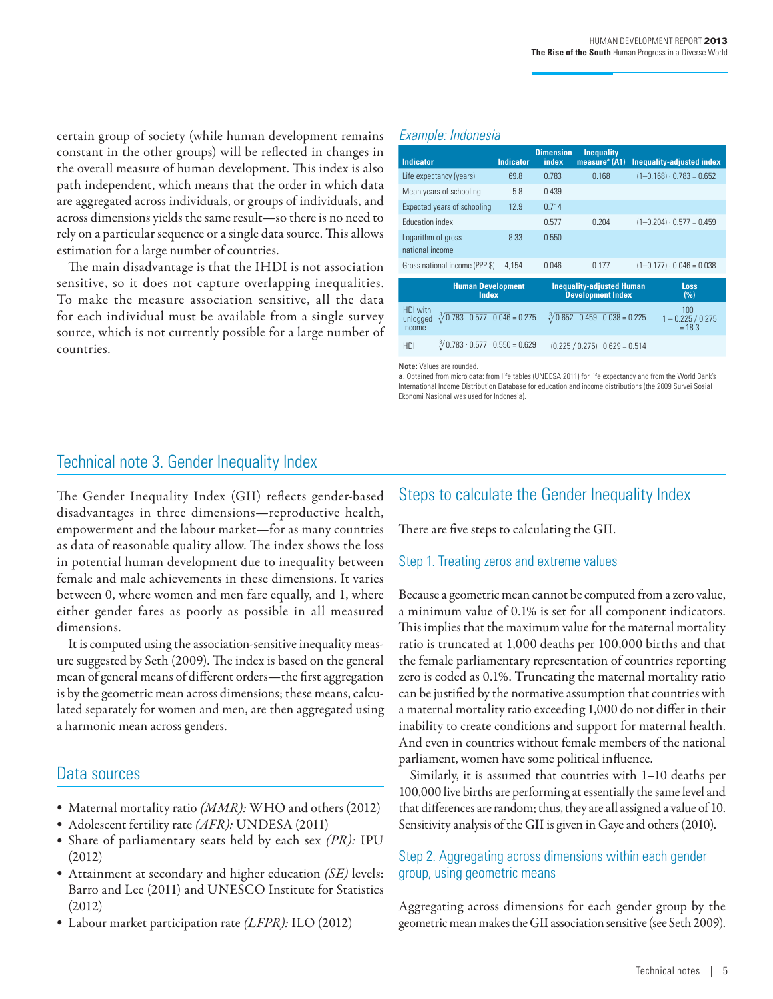certain group of society (while human development remains constant in the other groups) will be reflected in changes in the overall measure of human development. This index is also path independent, which means that the order in which data are aggregated across individuals, or groups of individuals, and across dimensions yields the same result—so there is no need to rely on a particular sequence or a single data source. This allows estimation for a large number of countries.

The main disadvantage is that the IHDI is not association sensitive, so it does not capture overlapping inequalities. To make the measure association sensitive, all the data for each individual must be available from a single survey source, which is not currently possible for a large number of countries.

#### *Example: Indonesia*

| <b>Indicator</b>                                                                    | <b>Indicator</b> | <b>Dimension</b><br>index | <b>Inequality</b><br>measure <sup>a</sup> (A1)               | <b>Inequality-adjusted index</b>        |
|-------------------------------------------------------------------------------------|------------------|---------------------------|--------------------------------------------------------------|-----------------------------------------|
| Life expectancy (years)                                                             | 69.8             | 0.783                     | 0.168                                                        | $(1 - 0.168) \cdot 0.783 = 0.652$       |
| Mean years of schooling                                                             | 5.8              | 0.439                     |                                                              |                                         |
| Expected years of schooling                                                         | 12.9             | 0.714                     |                                                              |                                         |
| <b>Education index</b>                                                              |                  | 0.577                     | 0.204                                                        | $(1-0.204) \cdot 0.577 = 0.459$         |
| Logarithm of gross<br>national income                                               | 8.33             | 0.550                     |                                                              |                                         |
| Gross national income (PPP \$)                                                      | 4.154            | 0.046                     | 0.177                                                        | $(1-0.177) \cdot 0.046 = 0.038$         |
| <b>Human Development</b><br>Index                                                   |                  |                           | <b>Inequality-adjusted Human</b><br><b>Development Index</b> | Loss<br>(%)                             |
| HDI with<br>$\sqrt[3]{0.783 \cdot 0.577 \cdot 0.046} = 0.275$<br>unlogged<br>income |                  |                           | $\sqrt[3]{0.652 \cdot 0.459 \cdot 0.038} = 0.225$            | 100.<br>$1 - 0.225 / 0.275$<br>$= 18.3$ |
| $\sqrt[3]{0.783 \cdot 0.577 \cdot 0.550} = 0.629$<br>HDI                            |                  |                           | $(0.225 / 0.275) \cdot 0.629 = 0.514$                        |                                         |

Note: Values are rounded.

a. Obtained from micro data: from life tables (UNDESA 2011) for life expectancy and from the World Bank's International Income Distribution Database for education and income distributions (the 2009 Survei Sosial Ekonomi Nasional was used for Indonesia).

# Technical note 3. Gender Inequality Index

The Gender Inequality Index (GII) reflects gender-based disadvantages in three dimensions—reproductive health, empowerment and the labour market—for as many countries as data of reasonable quality allow. The index shows the loss in potential human development due to inequality between female and male achievements in these dimensions. It varies between 0, where women and men fare equally, and 1, where either gender fares as poorly as possible in all measured dimensions.

It is computed using the association-sensitive inequality measure suggested by Seth (2009). The index is based on the general mean of general means of different orders—the first aggregation is by the geometric mean across dimensions; these means, calculated separately for women and men, are then aggregated using a harmonic mean across genders.

# Data sources

- Maternal mortality ratio *(MMR):* WHO and others (2012)
- Adolescent fertility rate *(AFR):* UNDESA (2011)
- Share of parliamentary seats held by each sex *(PR):* IPU (2012)
- Attainment at secondary and higher education *(SE)* levels: Barro and Lee (2011) and UNESCO Institute for Statistics (2012)
- Labour market participation rate *(LFPR):* ILO (2012)

# Steps to calculate the Gender Inequality Index

There are five steps to calculating the GII.

## Step 1. Treating zeros and extreme values

Because a geometric mean cannot be computed from a zero value, a minimum value of 0.1% is set for all component indicators. This implies that the maximum value for the maternal mortality ratio is truncated at 1,000 deaths per 100,000 births and that the female parliamentary representation of countries reporting zero is coded as 0.1%. Truncating the maternal mortality ratio can be justified by the normative assumption that countries with a maternal mortality ratio exceeding 1,000 do not differ in their inability to create conditions and support for maternal health. And even in countries without female members of the national parliament, women have some political influence.

Similarly, it is assumed that countries with 1–10 deaths per 100,000 live births are performing at essentially the same level and that differences are random; thus, they are all assigned a value of 10. Sensitivity analysis of the GII is given in Gaye and others (2010).

## Step 2. Aggregating across dimensions within each gender group, using geometric means

Aggregating across dimensions for each gender group by the geometric mean makes the GII association sensitive (see Seth 2009).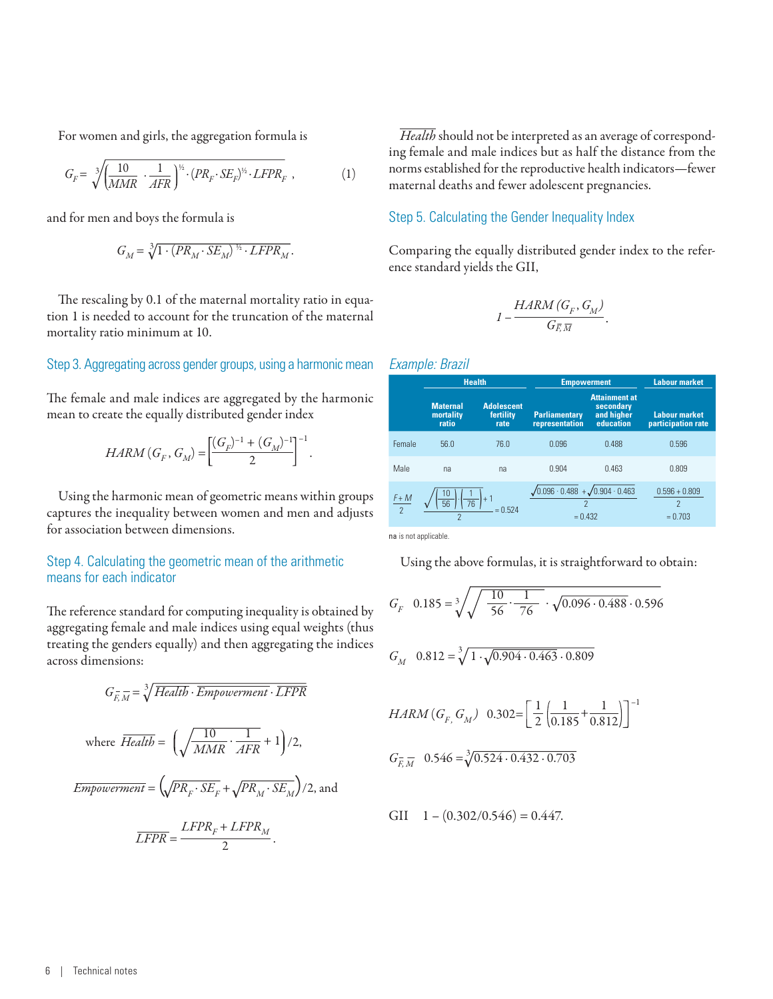For women and girls, the aggregation formula is

$$
G_F = \sqrt[3]{\left(\frac{10}{MMR} \cdot \frac{1}{AFR}\right)^{\frac{1}{2}} \cdot (PR_F \cdot SE_F)^{\frac{1}{2}} \cdot LFPR_F} ,\qquad (1)
$$

and for men and boys the formula is

$$
G_{M}=\sqrt[3]{1\cdot (PR_{M}\cdot SE_{M})^{\frac{1}{2}}\cdot LFPR_{M}}.
$$

The rescaling by 0.1 of the maternal mortality ratio in equation 1 is needed to account for the truncation of the maternal mortality ratio minimum at 10.

#### Step 3. Aggregating across gender groups, using a harmonic mean

The female and male indices are aggregated by the harmonic mean to create the equally distributed gender index

$$
HARM(G_F, G_M) = \left[\frac{(G_F)^{-1} + (G_M)^{-1}}{2}\right]^{-1}.
$$

Using the harmonic mean of geometric means within groups captures the inequality between women and men and adjusts for association between dimensions.

#### Step 4. Calculating the geometric mean of the arithmetic means for each indicator

The reference standard for computing inequality is obtained by aggregating female and male indices using equal weights (thus treating the genders equally) and then aggregating the indices across dimensions:

$$
G_{F,M}^{-} = \sqrt[3]{Health \cdot Empowerment \cdot LFPR}
$$
  
where  $\overline{Health} = \left(\sqrt{\frac{10}{MMR} \cdot \frac{1}{AFR}} + 1\right)/2$ ,  

$$
Empowerment = \left(\sqrt{PR_{F} \cdot SE_{F}} + \sqrt{PR_{M} \cdot SE_{M}}\right)/2
$$
, and  

$$
\overline{LFPR} = \frac{LFPR_{F} + LFPR_{M}}{2}.
$$

*Health* should not be interpreted as an average of corresponding female and male indices but as half the distance from the norms established for the reproductive health indicators—fewer maternal deaths and fewer adolescent pregnancies.

#### Step 5. Calculating the Gender Inequality Index

Comparing the equally distributed gender index to the reference standard yields the GII,

$$
I-\frac{HARM\left( G_{F},G_{M}\right) }{G_{\overline{F},\,\overline{M}}}
$$

.

#### *Example: Brazil*

|               |                                       | <b>Health</b>                          | <b>Empowerment</b>                                                                             |                                                              | <b>Labour market</b>                       |  |
|---------------|---------------------------------------|----------------------------------------|------------------------------------------------------------------------------------------------|--------------------------------------------------------------|--------------------------------------------|--|
|               | <b>Maternal</b><br>mortality<br>ratio | <b>Adolescent</b><br>fertility<br>rate | <b>Parliamentary</b><br>representation                                                         | <b>Attainment at</b><br>secondary<br>and higher<br>education | <b>Labour market</b><br>participation rate |  |
| Female        | 56.0                                  | 76.0                                   | 0.096                                                                                          | 0.488                                                        | 0.596                                      |  |
| Male          | na                                    | na                                     | 0.904                                                                                          | 0.463                                                        | 0.809                                      |  |
| $rac{F+M}{2}$ | $\frac{10}{56}$<br>$\frac{1}{76}$     | $= 0.524$                              | $\sqrt{0.096 \cdot 0.488} + \sqrt{0.904 \cdot 0.463}$<br>$\overline{\phantom{a}}$<br>$= 0.432$ |                                                              | $0.596 + 0.809$<br>2<br>$= 0.703$          |  |

na is not applicable.

Using the above formulas, it is straightforward to obtain:

$$
G_F \quad 0.185 = \sqrt[3]{\sqrt{\frac{10}{56} \cdot \frac{1}{76}} \cdot \sqrt{0.096 \cdot 0.488} \cdot 0.596}
$$

$$
G_M \quad 0.812 = \sqrt[3]{1 \cdot \sqrt{0.904 \cdot 0.463} \cdot 0.809}
$$

$$
HARM (G_{F_1} G_M) \quad 0.302 = \left[ \frac{1}{2} \left( \frac{1}{0.185} + \frac{1}{0.812} \right) \right]^{-1}
$$

$$
G_{\overline{F}_2} \overline{M} \quad 0.546 = \sqrt[3]{0.524 \cdot 0.432 \cdot 0.703}
$$

GII  $1 - (0.302/0.546) = 0.447$ .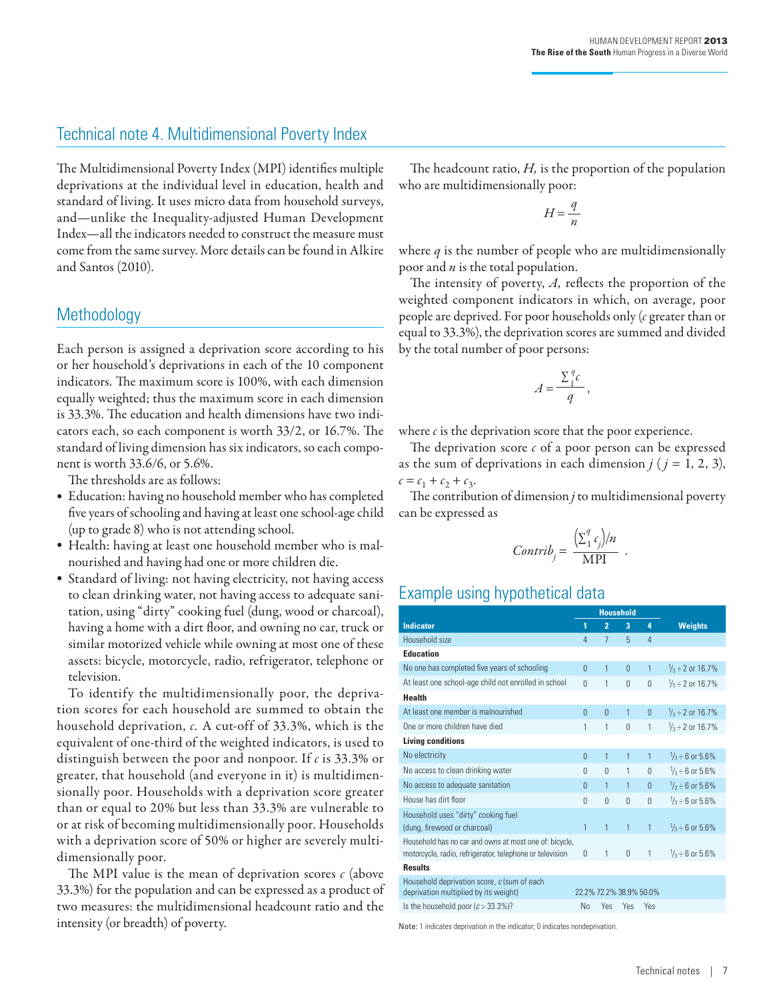# Technical note 4. Multidimensional Poverty Index

The Multidimensional Poverty Index (MPI) identifies multiple deprivations at the individual level in education, health and standard of living. It uses micro data from household surveys, and—unlike the Inequality-adjusted Human Development Index—all the indicators needed to construct the measure must come from the same survey. More details can be found in Alkire and Santos (2010).

## **Methodology**

Each person is assigned a deprivation score according to his or her household's deprivations in each of the 10 component indicators*.* The maximum score is 100%, with each dimension equally weighted; thus the maximum score in each dimension is 33.3%. The education and health dimensions have two indicators each, so each component is worth 33/2, or 16.7%. The standard of living dimension has six indicators, so each component is worth 33.6/6, or 5.6%.

The thresholds are as follows:

- Education: having no household member who has completed five years of schooling and having at least one school-age child (up to grade 8) who is not attending school.
- Health: having at least one household member who is malnourished and having had one or more children die.
- Standard of living: not having electricity, not having access to clean drinking water, not having access to adequate sanitation, using "dirty" cooking fuel (dung, wood or charcoal), having a home with a dirt floor, and owning no car, truck or similar motorized vehicle while owning at most one of these assets: bicycle, motorcycle, radio, refrigerator, telephone or television.

To identify the multidimensionally poor, the deprivation scores for each household are summed to obtain the household deprivation, *c.* A cut-off of 33.3%, which is the equivalent of one-third of the weighted indicators, is used to distinguish between the poor and nonpoor. If *c* is 33.3% or greater, that household (and everyone in it) is multidimensionally poor. Households with a deprivation score greater than or equal to 20% but less than 33.3% are vulnerable to or at risk of becoming multidimensionally poor. Households with a deprivation score of 50% or higher are severely multidimensionally poor.

The MPI value is the mean of deprivation scores *c* (above 33.3%) for the population and can be expressed as a product of two measures: the multidimensional headcount ratio and the intensity (or breadth) of poverty.

The headcount ratio, *H,* is the proportion of the population who are multidimensionally poor:

$$
H\!=\!\frac{q}{n}
$$

where *q* is the number of people who are multidimensionally poor and *n* is the total population.

The intensity of poverty, *A,* reflects the proportion of the weighted component indicators in which, on average, poor people are deprived. For poor households only (*c* greater than or equal to 33.3%), the deprivation scores are summed and divided by the total number of poor persons:

$$
A = \frac{\sum_{1}^{q} c}{q},
$$

where *c* is the deprivation score that the poor experience.

The deprivation score *c* of a poor person can be expressed as the sum of deprivations in each dimension  $j$  ( $j = 1, 2, 3$ ),  $c = c_1 + c_2 + c_3$ .

The contribution of dimension *j* to multidimensional poverty can be expressed as

$$
Contrib_j = \frac{\left(\sum_{1}^{q} c_j\right)/n}{MPI} .
$$

# Example using hypothetical data

|                                                                                      |                | <b>Household</b>        |                |                |                            |
|--------------------------------------------------------------------------------------|----------------|-------------------------|----------------|----------------|----------------------------|
| <b>Indicator</b>                                                                     | 1              | $\overline{2}$          | 3              | 4              | <b>Weights</b>             |
| Household size                                                                       | 4              | $\overline{7}$          | 5              | $\overline{4}$ |                            |
| <b>Education</b>                                                                     |                |                         |                |                |                            |
| No one has completed five years of schooling                                         | $\overline{0}$ | 1                       | $\overline{0}$ | $\mathbf{1}$   | $\frac{1}{3}$ ÷ 2 or 16.7% |
| At least one school-age child not enrolled in school                                 | $\Omega$       | 1                       | $\Omega$       | $\theta$       | $\frac{1}{3}$ ÷ 2 or 16.7% |
| <b>Health</b>                                                                        |                |                         |                |                |                            |
| At least one member is malnourished                                                  | $\theta$       | $\theta$                | $\mathbf{1}$   | $\overline{0}$ | $\frac{1}{3}$ ÷ 2 or 16.7% |
| One or more children have died                                                       | 1              | 1                       | $\mathbf{0}$   | 1              | $\frac{1}{3}$ ÷ 2 or 16.7% |
| <b>Living conditions</b>                                                             |                |                         |                |                |                            |
| No electricity                                                                       | $\theta$       | 1                       | 1              | 1              | $\frac{1}{3}$ ÷ 6 or 5.6%  |
| No access to clean drinking water                                                    | $\Omega$       | $\Omega$                | 1              | $\theta$       | $\frac{1}{3}$ ÷ 6 or 5.6%  |
| No access to adequate sanitation                                                     | $\theta$       | 1                       | 1              | $\overline{0}$ | $\frac{1}{3}$ ÷ 6 or 5.6%  |
| House has dirt floor                                                                 | $\Omega$       | $\Omega$                | $\Omega$       | $\theta$       | $\frac{1}{3}$ ÷ 6 or 5.6%  |
| Household uses "dirty" cooking fuel                                                  |                |                         |                |                |                            |
| (dung, firewood or charcoal)                                                         | $\mathbf{1}$   | $\overline{1}$          | $\mathbf{1}$   | 1              | $\frac{1}{3}$ ÷ 6 or 5.6%  |
| Household has no car and owns at most one of: bicycle,                               |                |                         |                |                |                            |
| motorcycle, radio, refrigerator, telephone or television                             | 0              | 1                       | 0              | 1              | $\frac{1}{3}$ ÷ 6 or 5.6%  |
| <b>Results</b>                                                                       |                |                         |                |                |                            |
| Household deprivation score, c (sum of each<br>deprivation multiplied by its weight) |                | 22.2% 72.2% 38.9% 50.0% |                |                |                            |
| Is the household poor $(c > 33.3\%)$ ?                                               | No             | Yes                     | Yes            | Yes            |                            |

Note: 1 indicates deprivation in the indicator; 0 indicates nondeprivation.